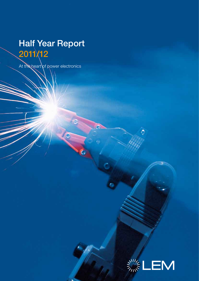# Half Year Report 2011/12

At the heart of power electronics

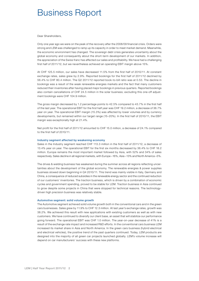### Business Report

Dear Shareholders,

Only one year ago we were on the peak of the recovery after the 2008/09 financial crisis. Orders were strong and LEM was challenged to ramp up its capacity in order to meet market demand. Meanwhile, the economic environment has changed. The sovereign debt crisis generates uncertainty about the global economy and consequently about the short-term development of our markets. In addition, the appreciation of the Swiss franc has affected our sales and profitability. We have had a challenging first half of 2011/12, but we nevertheless achieved an operating EBIT margin above 15%.

At CHF 125.5 million, our sales have decreased 11.5% from the first half of 2010/11. At constant exchange rates, sales grew by 2.9%. Reported bookings for the first half of 2011/12 declined by 56.4% to CHF 80.4 million. The Q2 2011/12 reported book-to-bill ratio was at 0.53. The decline in bookings was a result of the weak renewable energies markets and the fact that many customers reduced their inventories after having placed major bookings in previous quarters. Reported bookings also contain cancellations of CHF 24.5 million in the solar business; excluding this one-off adjustment bookings were CHF 104.9 million.

The gross margin decreased by 1.2 percentage points to 42.5% compared to 43.7% in the first half of the last year. The operational EBIT for the first half year was CHF 19.2 million, a decrease of 36.7% year on year. The operational EBIT margin (15.3%) was affected by lower volumes and by currency developments, but remained within our target range (15–20%). In the first half of 2010/11, the EBIT margin was exceptionally high at 21.4%.

Net profit for the first half of 2011/12 amounted to CHF 15.0 million, a decrease of 24.1% compared to the first half of 2010/11.

#### Industry segment affected by weakening economy

Sales in the Industry segment reached CHF 113.3 million in the first half of 2011/12, a decrease of 13.4% year on year. The operational EBIT for the first six months decreased by 36.4% to CHF 18.2 million. Europe remains the most important market followed by Asia, with 52% and 34% of sales respectively. Sales decline in all regional markets, with Europe –16%, Asia –13% and North America –5%.

The drives & welding business has weakened during the summer across all regions reflecting uncertainties about the development of the global economy. The renewable energies & power supplies business slowed down beginning in Q4 2010/11. This trend was mainly visible in Italy, Germany and China, a consequence of reduced subsidies in the renewable energy sector and the continued reduction of our customers' inventories. The traction business, which is driven by a combination of economic cycles and government spending, proved to be stable for LEM. Traction business in Asia continued to grow despite some projects in China that were stopped for technical reasons. The technologydriven high precision business was relatively stable.

#### Automotive segment: solid volume growth

The Automotive segment achieved solid volume growth both in the conventional cars and in the green cars businesses. Sales grew by 11.9% to CHF 12.3 million. At last year's exchange rates, growth was 38.2%. We achieved this result with new applications with existing customers as well as with new customers. We have continued to diversify our client base, an asset that will stabilize our performance going forward. The operational EBIT was CHF 1.0 million. The year-on-year decrease of 41% is a result of the exchange rate impact and increased R&D efforts. In the conventional cars business LEM increased its market share in Asia and North America. In the green cars business (hybrid electrical and electrical vehicles), the positive trend of the past quarters continued. Today, LEM products are designed into the majority of all green car projects launched globally. LEM's volume increase will depend on car manufacturers' success with these new platforms.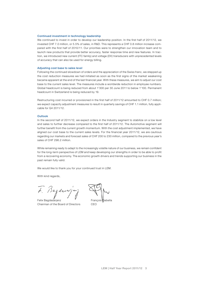#### Continued investment in technology leadership

We continued to invest in order to develop our leadership position. In the first half of 2011/12, we invested CHF 7.0 million, or 5.5% of sales, in R&D. This represents a CHF 0.8 million increase compared with the first half of 2010/11. Our priorities were to strengthen our innovation team and to launch new products that provide better accuracy, faster response time and new features. In traction, we introduced new current (ITC family) and voltage (DV) transducers with unprecedented levels of accuracy that can also be used for energy billing.

#### Adjusting cost base to sales level

Following the continued slowdown of orders and the appreciation of the Swiss franc, we stepped up the cost reduction measures we had initiated as soon as the first signs of the market weakening became apparent at the end of the last financial year. With these measures, we aim to adjust our cost base to the current sales level. The measures include a worldwide reduction in employee numbers. Global headcount is being reduced from about 1'300 per 30 June 2011 to below 1'100. Permanent headcount in Switzerland is being reduced by 19.

Restructuring cost incurred or provisioned in the first half of 2011/12 amounted to CHF 0.7 million; we expect capacity adjustment measures to result in quarterly savings of CHF 1.1 million, fully applicable for Q4 2011/12.

#### **Outlook**

In the second half of 2011/12, we expect orders in the Industry segment to stabilize on a low level and sales to further decrease compared to the first half of 2011/12. The Automotive segment will further benefit from the current growth momentum. With the cost adjustment implemented, we have aligned our cost base to the current sales levels. For the financial year 2011/12, we are cautious regarding our markets and forecast sales of CHF 200 to 230 million, compared to the previous year's sales of CHF 296.2 million.

While remaining ready to adapt to the increasingly volatile nature of our business, we remain confident for the long-term perspective of LEM and keep developing our strengths in order to be able to profit from a recovering economy. The economic growth drivers and trends supporting our business in the past remain fully valid.

We would like to thank you for your continued trust in LEM.

With kind regards,

t. Bagdusa

Felix Bagdasarjanz Chairman of the Board of Directors

Bahella

CEO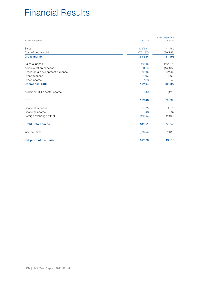# Financial Results

|                                |          | April to September |
|--------------------------------|----------|--------------------|
| In CHF thousands               | 2011/12  | 2010/11            |
| Sales                          | 125'511  | 141'780            |
| Cost of goods sold             | (72'187) | (79'787)           |
| <b>Gross margin</b>            | 53'324   | 61'993             |
| Sales expense                  | (11'909) | (10'991)           |
| Administration expense         | (15'301) | (14'467)           |
| Research & development expense | (6'959)  | (6'144)            |
| Other expense                  | (145)    | (306)              |
| Other income                   | 183      | 242                |
| <b>Operational EBIT</b>        | 19'194   | 30'327             |
| Additional SOP costs/income    | 619      | (429)              |
| <b>EBIT</b>                    | 19'813   | 29'899             |
| Financial expense              | (172)    | (331)              |
| Financial income               | 46       | 87                 |
| Foreign exchange effect        | (1'035)  | (2'406)            |
| <b>Profit before taxes</b>     | 18'651   | 27'249             |
| Income taxes                   | (3'624)  | (7'439)            |
| Net profit of the period       | 15'028   | 19'810             |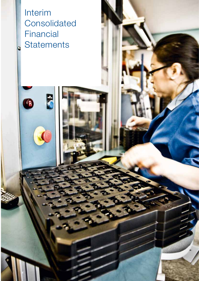Interim Consolidated Financial **Statements** 

F

Q

 $\bullet$ 

Lem 2011/12 5 and 2011/12 5 and 2011/12 5 and 2011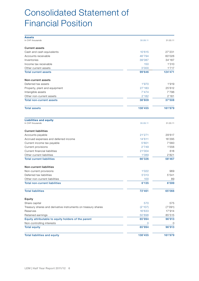# Consolidated Statement of Financial Position

| <b>Assets</b>                                                 |          |          |
|---------------------------------------------------------------|----------|----------|
| In CHF thousands                                              | 30.09.11 | 31.03.11 |
| <b>Current assets</b>                                         |          |          |
| Cash and cash equivalents                                     | 10'615   | 27'231   |
| Accounts receivable                                           | 46'794   | 60'026   |
| Inventories                                                   | 39'087   | 34'187   |
| Income tax receivable                                         | 150      | 1'310    |
| Other current assets                                          | 3'000    | 1'717    |
| <b>Total current assets</b>                                   | 99'646   | 124'471  |
| Non-current assets                                            |          |          |
| Deferred tax assets                                           | 1'970    | 1'919    |
| Property, plant and equipment                                 | 27'183   | 25'612   |
| Intangible assets                                             | 7'474    | 7'796    |
| Other non-current assets                                      | 2'182    | 2'181    |
| <b>Total non-current assets</b>                               | 38'809   | 37'508   |
| <b>Total assets</b>                                           | 138'455  | 161'979  |
| <b>Liabilities and equity</b><br>In CHF thousands             | 30.09.11 | 31.03.11 |
|                                                               |          |          |
| <b>Current liabilities</b>                                    |          |          |
| Accounts payable                                              | 21'271   | 29'617   |
| Accrued expenses and deferred income                          | 14'611   | 16'295   |
| Current income tax payable                                    | 5'601    | 7'560    |
| Current provisions                                            | 2'749    | 1'556    |
| Current financial liabilities                                 | 21'004   | 618      |
| Other current liabilities                                     | 1'089    | 2'821    |
| <b>Total current liabilities</b>                              | 66'326   | 58'467   |
| <b>Non-current liabilities</b>                                |          |          |
| Non-current provisions                                        | 1'022    | 969      |
| Deferred tax liabilities                                      | 5'013    | 5'541    |
| Other non-current liabilities                                 | 100      | 89       |
| <b>Total non-current liabilities</b>                          | 6'135    | 6'599    |
| <b>Total liabilities</b>                                      | 72'461   | 65'066   |
| Equity                                                        |          |          |
| Share capital                                                 | 570      | 575      |
| Treasury shares and derivative instruments on treasury shares | (2'107)  | (7'091)  |
| Reserves                                                      | 16'633   | 17'914   |
| Retained earnings                                             | 50'898   | 85'515   |
| Equity attributable to equity holders of the parent           | 65'994   | 96'913   |
| Non-controlling interests                                     | 0        | 0        |
| <b>Total equity</b>                                           | 65'994   | 96'913   |
| <b>Total liabilities and equity</b>                           | 138'455  | 161'979  |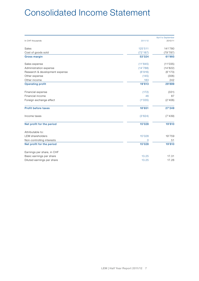# Consolidated Income Statement

|                                |          | April to September |
|--------------------------------|----------|--------------------|
| In CHF thousands               | 2011/12  | 2010/11            |
| Sales                          | 125'511  | 141'780            |
| Cost of goods sold             | (72'187) | (79'787)           |
| <b>Gross margin</b>            | 53'324   | 61'993             |
| Sales expense                  | (11'845) | (11'035)           |
| Administration expense         | (14'788) | (14'822)           |
| Research & development expense | (6'916)  | (6'173)            |
| Other expense                  | (145)    | (306)              |
| Other income                   | 183      | 242                |
| <b>Operating profit</b>        | 19'813   | 29'899             |
| Financial expense              | (172)    | (331)              |
| Financial income               | 46       | 87                 |
| Foreign exchange effect        | (1'035)  | (2'406)            |
| <b>Profit before taxes</b>     | 18'651   | 27'249             |
| Income taxes                   | (3'624)  | (7'439)            |
| Net profit for the period      | 15'028   | 19'810             |
| Attributable to:               |          |                    |
| <b>LEM</b> shareholders        | 15'028   | 19'759             |
| Non-controlling interests      | 0        | 51                 |
| Net profit for the period      | 15'028   | 19'810             |
| Earnings per share, in CHF     |          |                    |
| Basic earnings per share       | 13.25    | 17.31              |
| Diluted earnings per share     | 13.25    | 17.26              |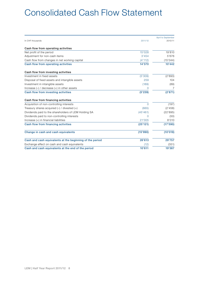# Consolidated Cash Flow Statement

|                                                          |          | April to September |
|----------------------------------------------------------|----------|--------------------|
| In CHF thousands                                         | 2011/12  | 2010/11            |
| Cash flow from operating activities                      |          |                    |
| Net profit of the period                                 | 15'028   | 19'810             |
| Adjustment for non-cash items                            | 3'454    | 5'676              |
| Cash flow from changes in net working capital            | (4'112)  | (15'044)           |
| Cash flow from operating activities                      | 14'370   | 10'442             |
| Cash flow from investing activities                      |          |                    |
| Investment in fixed assets                               | (5'309)  | (2'893)            |
| Disposal of fixed assets and intangible assets           | 259      | 104                |
| Investment in intangible assets                          | (189)    | (89)               |
| Increase $(-)$ / decrease $(+)$ in other assets          | 0        | 7                  |
| Cash flow from investing activities                      | (5'239)  | (2'871)            |
| Cash flow from financing activities                      |          |                    |
| Acquisition of non-controlling interests                 | $\Omega$ | (197)              |
| Treasury shares acquired $(-)$ / divested $(+)$          | (665)    | (2'458)            |
| Dividends paid to the shareholders of LEM Holding SA     | (45'461) | (22'895)           |
| Dividends paid to non-controlling interests              | $\Omega$ | (50)               |
| Increase (+) in financial liabilities                    | 21'005   | 8'010              |
| Cash flow from financing activities                      | (25'121) | (17'590)           |
| Change in cash and cash equivalents                      | (15'990) | (10'019)           |
| Cash and cash equivalents at the beginning of the period | 26'613   | 29'757             |
| Exchange effect on cash and cash equivalents             | (12)     | (351)              |
| Cash and cash equivalents at the end of the period       | 10'611   | 19'387             |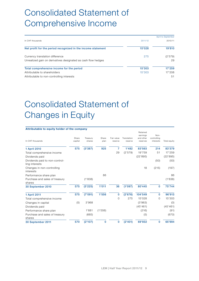# Consolidated Statement of Comprehensive Income

|                                                               |         | April to September |
|---------------------------------------------------------------|---------|--------------------|
| In CHF thousands                                              | 2011/12 | 2010/11            |
| Net profit for the period recognized in the income statement  | 15'028  | 19'810             |
| Currency translation difference                               | 275     | (2'579)            |
| Unrealized gain on derivatives designated as cash flow hedges |         | 29                 |
| Total comprehensive income for the period                     | 15'303  | 17'259             |
| Attributable to shareholders                                  | 15'303  | 17'208             |
| Attributable to non-controlling interests                     |         | 51                 |

# Consolidated Statement of Changes in Equity

### Attributable to equity holder of the company

|                                                  | Share   | Treasury | Share   | Fair value  | Translation | Retained<br>earnings<br>and other | Non-<br>controlling |              |
|--------------------------------------------------|---------|----------|---------|-------------|-------------|-----------------------------------|---------------------|--------------|
| In CHF thousands                                 | capital | shares   | plan    | reserve     | reserve     | reserves                          | interests           | Total equity |
| 1 April 2010                                     | 575     | (3'387)  | 925     | 7           | 1'482       | 83'563                            | 214                 | 83'379       |
| Total comprehensive income                       |         |          |         | 29          | (2'579)     | 19'759                            | 51                  | 17'259       |
| Dividends paid                                   |         |          |         |             |             | (22'895)                          |                     | (22'895)     |
| Dividends paid to non-control-<br>ling interests |         |          |         |             |             |                                   | (50)                | (50)         |
| Changes in non-controlling<br>interests          |         |          |         |             |             | 18                                | (215)               | (197)        |
| Performance share plan                           |         |          | 86      |             |             |                                   |                     | 86           |
| Purchase and sales of treasury<br>shares         |         | (1'838)  |         |             |             |                                   |                     | (1'838)      |
| 30 September 2010                                | 575     | (5'225)  | 1'011   | 36          | (1'097)     | 80'445                            | 0                   | 75'744       |
| 1 April 2011                                     | 575     | (7'091)  | 1'556   | $\mathbf 0$ | (2'676)     | 104'549                           | 0                   | 96'913       |
| Total comprehensive income                       |         |          |         | $\Omega$    | 275         | 15'028                            | 0                   | 15'303       |
| Changes in capital                               | (5)     | 3'968    |         |             |             | (3'963)                           |                     | (0)          |
| Dividends paid                                   |         |          |         |             |             | (45'461)                          |                     | (45'461)     |
| Performance share plan                           |         | 1'681    | (1'556) |             |             | (216)                             |                     | (91)         |
| Purchase and sales of treasury<br>shares         |         | (665)    |         |             |             | (5)                               |                     | (670)        |
| 30 September 2011                                | 570     | (2'107)  | 0       | $\mathbf 0$ | (2'401)     | 69'932                            | 0                   | 65'994       |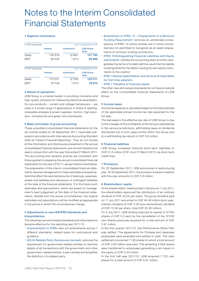# Notes to the Interim Consolidated Financial Statements

### 1 Segment information

| In CHF thousands |                 |            | April to September 2010          |
|------------------|-----------------|------------|----------------------------------|
|                  | <b>Industry</b> | Automotive | <b>LEM Group</b><br><b>Total</b> |
| Sales            | 130'819         | 10'961     | 141'780                          |
| EBIT             | 28'226          | 1'673      | 29'899                           |
| In CHF thousands |                 |            | April to September 2011          |
|                  | Industry        | Automotive | <b>LEM Group</b><br>Total        |
| Sales            | 113'251         | 12'260     | 125'511                          |
| EBIT             | 18'739          | 1'074      | 19'813                           |

### 2 Nature of operations

LEM Group is a market leader in providing innovative and high-quality solutions for measuring electrical parameters. Its core products – current and voltage transducers – are used in a broad range of applications in drives & welding, renewable energies & power supplies, traction, high precision, conventional and green cars businesses.

#### 3 Basic principles of group accounting

These unaudited consolidated financial statements for the six months ended on 30 September 2011, have been prepared in accordance with International Accounting Standard (IAS) 34 "Interim Financial Reporting". They do not include all the information and disclosures presented in the annual consolidated financial statements and should therefore be read in conjunction with the year that ended 31 March 2011. The accounting and valuation policies are consistent with those applied in preparing the annual consolidated financial statements for the year 2010/11, except where noted below. The preparation of the interim consolidated financial statements requires management to make estimates and assumptions that affect the reported amounts of revenues, expenses, assets and liabilities and disclosure of contingent liabilities at the date of the financial statements. If in the future such estimates and assumptions, which are based on management's best judgement at the date of the financial statements, deviate from the actual circumstances, the original estimates and assumptions will be modified as appropriate in the period in which the circumstances change.

### 4 Adjustments to new IAS/IFRS standards and interpretations

The following new and revised standards and interpretations became effective for the reporting year 2011/12:

- Improvements to IFRSs sets out amendments across 7 different standards, related basis for conclusions and guidance.
- IAS 24 Related Party Disclosures (revised): removes the requirement for government-related entities to disclose details of all transactions with the government and other government-related entities, it also clarifies and simplifies the definition of a related party.
- Amendment to IFRIC 14 Prepayments of a Minimum Funding Requirement: removes an unintended consequence of IFRIC 14 where entities are in some circumstances not permitted to recognize as an asset prepayments of minimum funding contribution.
- IFRIC 19 Extinguishing Financial Liabilities with Equity Instruments: clarifies the accounting when an entity renegotiates the terms of its debt with the result that the liability is extinguished by the debtor issuing its own equity instruments to the creditor.
- IFRS 1 Severe hyperinflation and removal of fixed dates for first-time adopters
- IFRS 7 Transfers of financial assets

The other new and revised standards do not have a material effect on the consolidated financial statements of LEM Group.

### 5 Income taxes

Income tax expense is calculated based on the best estimate of the applicable annual income tax rate expected for the full year.

The decrease in the effective tax rate of LEM Group is due to the changes of the profitability of the Group's subsidiaries in the various jurisdictions, withholding taxes on dividends distributed out of prior years profits within the Group and to a withholding tax refund of CHF 0.6 million.

### 6 Financial liabilities

LEM Group increased financial short-term liabilities to CHF 21.0 million (CHF nil at 31 March 2011) via short-term credit lines.

### 7 Provisions

On 22 September 2011, LEM announced a restructuring plan. At 30 September 2011, the provision booked in relation with this plan amounts to CHF 0.5 million.

#### 8 Shareholders' equity

At the shareholders' meeting held in Geneva on 1 July 2011, the shareholders approved the distribution of an ordinary dividend of CHF 40.00 per share. The gross dividend paid on 11 July 2011 amounted to CHF 45.46 million (prior year: ordinary dividend of CHF 5.00 plus extraordinary dividend of CHF 15.00 per share; total CHF 22.90 million).

On 4 July 2011, LEM Holding reduced its capital of 10'000 shares of CHF 0.5 each by the cancellation of the 10'000 own shares previously acquired for a total amount of CHF 3.97 million.

In the first quarter 2011/12, the Performance Share Plan was settled. The agreements for Chinese and Japanese employees were amended and settled in cash. The cash settlement concerned 1'136 shares for which a total amount of CHF 0.65 million was paid. The remaining 4'828 shares were transferred to employees generating a net impact in the equity of CHF 0.22 million.

In the first half year 2011/12, LEM acquired 1'722 own shares for a total amount of CHF 0.67 million.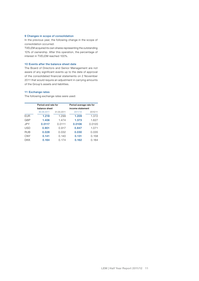### 9 Changes in scope of consolidation

In the previous year, the following change in the scope of consolidation occurred:

TVELEM acquired its own shares representing the outstanding 10% of ownership. After this operation, the percentage of interest in TVELEM reached 100%.

### 10 Events after the balance sheet date

The Board of Directors and Senior Management are not aware of any significant events up to the date of approval of the consolidated financial statements on 2 November 2011 that would require an adjustment in carrying amounts of the Group's assets and liabilities.

### 11 Exchange rates

The following exchange rates were used:

|            | Period-end rate for |            | Period average rate for |         |  |
|------------|---------------------|------------|-------------------------|---------|--|
|            | balance sheet       |            | income statement        |         |  |
|            | 30.09.2011          | 31.03.2011 | 2011/12                 | 2010/11 |  |
| <b>EUR</b> | 1.218               | 1.299      | 1.209                   | 1.372   |  |
| GBP        | 1.406               | 1.474      | 1.373                   | 1.627   |  |
| JPY        | 0.0117              | 0.0111     | 0.0106                  | 0.0120  |  |
| <b>USD</b> | 0.901               | 0.917      | 0.847                   | 1.071   |  |
| <b>RUB</b> | 0.028               | 0.032      | 0.030                   | 0.035   |  |
| <b>CNY</b> | 0.141               | 0.140      | 0.131                   | 0.158   |  |
| DKK        | 0.164               | 0.174      | 0.162                   | 0.184   |  |